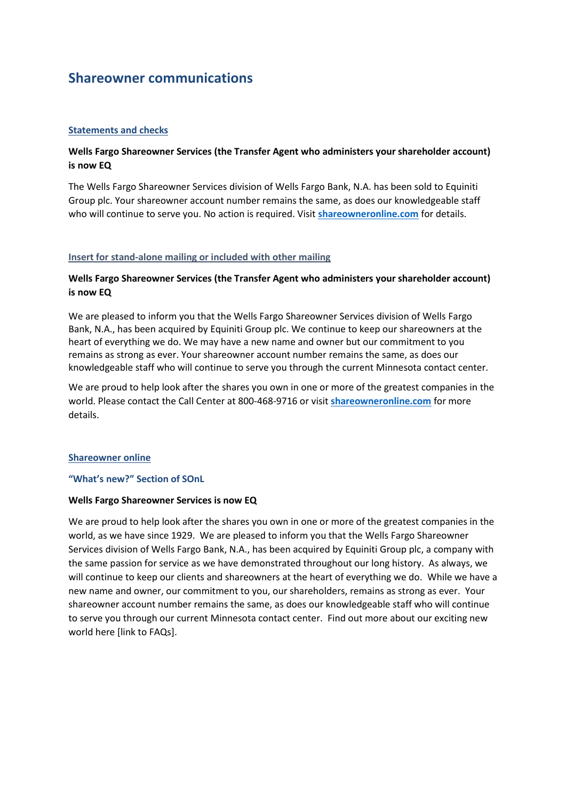# **Shareowner communications**

## **Statements and checks**

## **Wells Fargo Shareowner Services (the Transfer Agent who administers your shareholder account) is now EQ**

The Wells Fargo Shareowner Services division of Wells Fargo Bank, N.A. has been sold to Equiniti Group plc. Your shareowner account number remains the same, as does our knowledgeable staff who will continue to serve you. No action is required. Visit **[shareowneronline.com](http://.shareowneronline.com/)** for details.

## **Insert for stand-alone mailing or included with other mailing**

## **Wells Fargo Shareowner Services (the Transfer Agent who administers your shareholder account) is now EQ**

We are pleased to inform you that the Wells Fargo Shareowner Services division of Wells Fargo Bank, N.A., has been acquired by Equiniti Group plc. We continue to keep our shareowners at the heart of everything we do. We may have a new name and owner but our commitment to you remains as strong as ever. Your shareowner account number remains the same, as does our knowledgeable staff who will continue to serve you through the current Minnesota contact center.

We are proud to help look after the shares you own in one or more of the greatest companies in the world. Please contact the Call Center at 800-468-9716 or visit **[shareowneronline.com](http://.shareowneronline.com/)** for more details.

## **Shareowner online**

## **"What's new?" Section of SOnL**

## **Wells Fargo Shareowner Services is now EQ**

We are proud to help look after the shares you own in one or more of the greatest companies in the world, as we have since 1929. We are pleased to inform you that the Wells Fargo Shareowner Services division of Wells Fargo Bank, N.A., has been acquired by Equiniti Group plc, a company with the same passion for service as we have demonstrated throughout our long history. As always, we will continue to keep our clients and shareowners at the heart of everything we do. While we have a new name and owner, our commitment to you, our shareholders, remains as strong as ever. Your shareowner account number remains the same, as does our knowledgeable staff who will continue to serve you through our current Minnesota contact center. Find out more about our exciting new world here [link to FAQs].